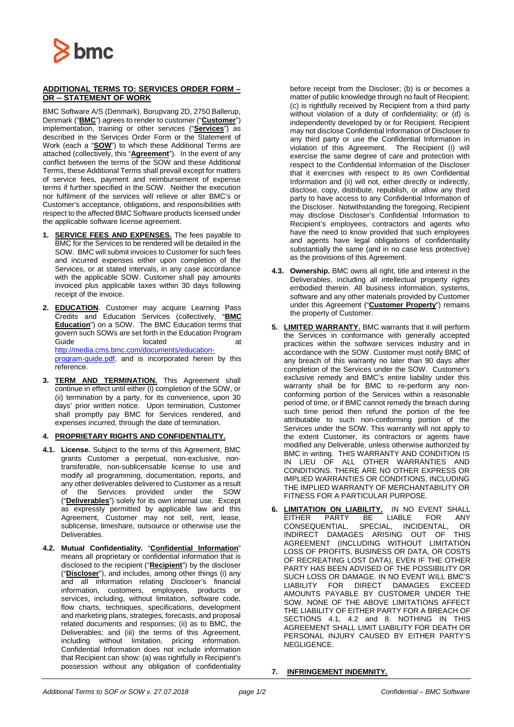

## **ADDITIONAL TERMS TO: SERVICES ORDER FORM – OR -- STATEMENT OF WORK**

BMC Software A/S (Denmark), Borupvang 2D, 2750 Ballerup, Denmark ("**BMC**") agrees to render to customer ("**Customer**") implementation, training or other services ("**Services**") as described in the Services Order Form or the Statement of Work (each a "**SOW**") to which these Additional Terms are attached (collectively, this "**Agreement**"). In the event of any conflict between the terms of the SOW and these Additional Terms, these Additional Terms shall prevail except for matters of service fees, payment and reimbursement of expense terms if further specified in the SOW. Neither the execution nor fulfilment of the services will relieve or alter BMC's or Customer's acceptance, obligations, and responsibilities with respect to the affected BMC Software products licensed under the applicable software license agreement.

- **1. SERVICE FEES AND EXPENSES.** The fees payable to BMC for the Services to be rendered will be detailed in the SOW. BMC will submit invoices to Customer for such fees and incurred expenses either upon completion of the Services, or at stated intervals, in any case accordance with the applicable SOW. Customer shall pay amounts invoiced plus applicable taxes within 30 days following receipt of the invoice.
- **2. EDUCATION**. Customer may acquire Learning Pass Credits and Education Services (collectively, "**BMC Education**") on a SOW. The BMC Education terms that govern such SOWs are set forth in the Education Program Guide **Contract Contract Contract Contract Contract Contract Contract Contract Contract Contract Contract Contract Contract Contract Contract Contract Contract Contract Contract Contract Contract Contract Contract Contract** [http://media.cms.bmc.com/documents/education](http://media.cms.bmc.com/documents/education-program-guide.pdf)[program-guide.pdf,](http://media.cms.bmc.com/documents/education-program-guide.pdf) and is incorporated herein by this reference.
- **3. TERM AND TERMINATION.** This Agreement shall continue in effect until either (i) completion of the SOW, or (ii) termination by a party, for its convenience, upon 30 days' prior written notice. Upon termination, Customer shall promptly pay BMC for Services rendered, and expenses incurred, through the date of termination.

## **4. PROPRIETARY RIGHTS AND CONFIDENTIALITY.**

- **4.1. License.** Subject to the terms of this Agreement, BMC grants Customer a perpetual, non-exclusive, nontransferable, non-sublicensable license to use and modify all programming, documentation, reports, and any other deliverables delivered to Customer as a result of the Services provided under the SOW ("**Deliverables**") solely for its own internal use. Except as expressly permitted by applicable law and this Agreement, Customer may not sell, rent, lease, sublicense, timeshare, outsource or otherwise use the Deliverables.
- **4.2. Mutual Confidentiality.** "**Confidential Information**" means all proprietary or confidential information that is disclosed to the recipient ("**Recipient**") by the discloser ("**Discloser**"), and includes, among other things (i) any and all information relating Discloser's financial information, customers, employees, products or services, including, without limitation, software code, flow charts, techniques, specifications, development and marketing plans, strategies, forecasts, and proposal related documents and responses; (ii) as to BMC, the Deliverables; and (iii) the terms of this Agreement, including without limitation, pricing information. Confidential Information does not include information that Recipient can show: (a) was rightfully in Recipient's possession without any obligation of confidentiality

before receipt from the Discloser; (b) is or becomes a matter of public knowledge through no fault of Recipient; (c) is rightfully received by Recipient from a third party without violation of a duty of confidentiality; or (d) is independently developed by or for Recipient. Recipient may not disclose Confidential Information of Discloser to any third party or use the Confidential Information in violation of this Agreement. The Recipient (i) will exercise the same degree of care and protection with respect to the Confidential Information of the Discloser that it exercises with respect to its own Confidential Information and (ii) will not, either directly or indirectly, disclose, copy, distribute, republish, or allow any third party to have access to any Confidential Information of the Discloser. Notwithstanding the foregoing, Recipient may disclose Discloser's Confidential Information to Recipient's employees, contractors and agents who have the need to know provided that such employees and agents have legal obligations of confidentiality substantially the same (and in no case less protective) as the provisions of this Agreement.

- **4.3. Ownership.** BMC owns all right, title and interest in the Deliverables, including all intellectual property rights embodied therein. All business information, systems, software and any other materials provided by Customer under this Agreement ("**Customer Property**") remains the property of Customer.
- **5. LIMITED WARRANTY.** BMC warrants that it will perform the Services in conformance with generally accepted practices within the software services industry and in accordance with the SOW. Customer must notify BMC of any breach of this warranty no later than 90 days after completion of the Services under the SOW. Customer's exclusive remedy and BMC's entire liability under this warranty shall be for BMC to re-perform any nonconforming portion of the Services within a reasonable period of time, or if BMC cannot remedy the breach during such time period then refund the portion of the fee attributable to such non-conforming portion of the Services under the SOW. This warranty will not apply to the extent Customer, its contractors or agents have modified any Deliverable, unless otherwise authorized by BMC in writing. THIS WARRANTY AND CONDITION IS IN LIEU OF ALL OTHER WARRANTIES AND CONDITIONS. THERE ARE NO OTHER EXPRESS OR IMPLIED WARRANTIES OR CONDITIONS, INCLUDING THE IMPLIED WARRANTY OF MERCHANTABILITY OR FITNESS FOR A PARTICULAR PURPOSE.
- **6. LIMITATION ON LIABILITY.** IN NO EVENT SHALL EITHER PARTY BE LIABLE FOR ANY CONSEQUENTIAL, SPECIAL, INCIDENTAL, OR INDIRECT DAMAGES ARISING OUT OF THIS AGREEMENT (INCLUDING WITHOUT LIMITATION LOSS OF PROFITS, BUSINESS OR DATA, OR COSTS OF RECREATING LOST DATA), EVEN IF THE OTHER PARTY HAS BEEN ADVISED OF THE POSSIBILITY OR SUCH LOSS OR DAMAGE. IN NO EVENT WILL BMC'S LIABILITY FOR DIRECT DAMAGES EXCEED AMOUNTS PAYABLE BY CUSTOMER UNDER THE SOW. NONE OF THE ABOVE LIMITATIONS AFFECT THE LIABILITY OF EITHER PARTY FOR A BREACH OF SECTIONS 4.1, 4.2 and 8. NOTHING IN THIS AGREEMENT SHALL LIMIT LIABILITY FOR DEATH OR PERSONAL INJURY CAUSED BY EITHER PARTY'S NEGLIGENCE.

**7. INFRINGEMENT INDEMNITY.**